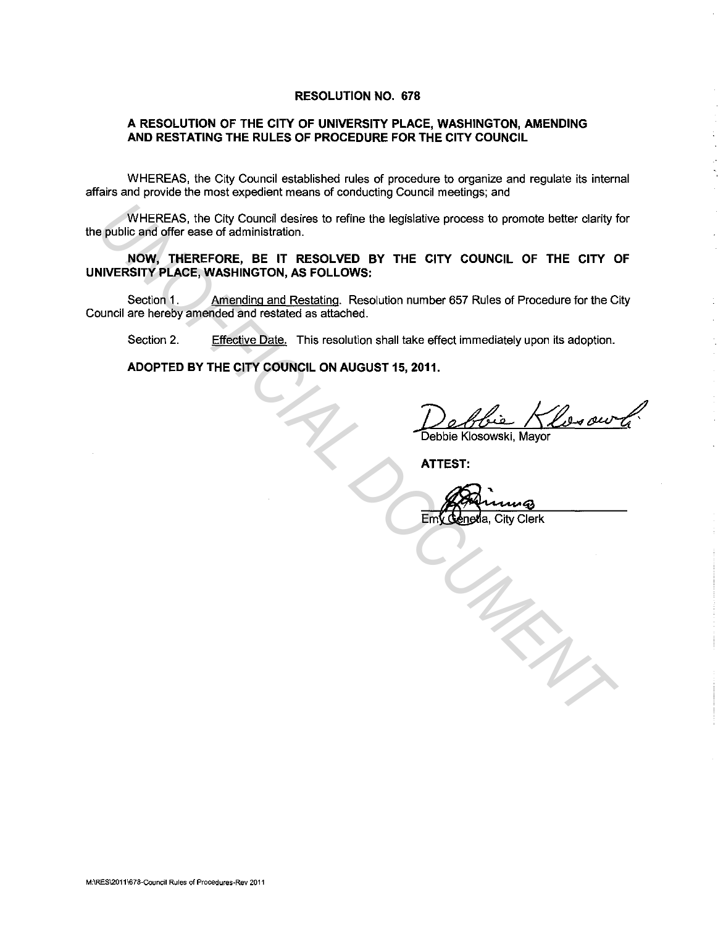#### **RESOLUTION NO. 678**

### **A RESOLUTION OF THE CITY OF UNIVERSITY PLACE, WASHINGTON, AMENDING AND RESTATING THE RULES OF PROCEDURE FOR THE CITY COUNCIL**

WHEREAS, the City Council established rules of procedure to organize and regulate its internal affairs and provide the most expedient means of conducting Council meetings; and

WHEREAS, the City Council desires to refine the legislative process to promote better clarity for the public and offer ease of administration.

**NOW, THEREFORE, BE IT RESOLVED BY THE CITY COUNCIL OF THE CITY OF UNIVERSITY PLACE, WASHINGTON, AS FOLLOWS:**  WHEREAS, the City Council desires to refine the legislative process to promote better darity public and offer ease of administration,<br> **NOW, THEREAT REAT RESOLVED BY THE CITY COUNCIL OF THE CITY COUNCIL SETTER COUNCIL ARE** 

Section 1. Amending and Restating. Resolution number 657 Rules of Procedure for the City Council are hereby amended and restated as attached.

Section 2. Effective Date. This resolution shall take effect immediately upon its adoption.

**ADOPTED BY THE CITY COUNCIL ON AUGUST 15, 2011.** 

Debie Klesour (

**ATTEST:** 

City Clerk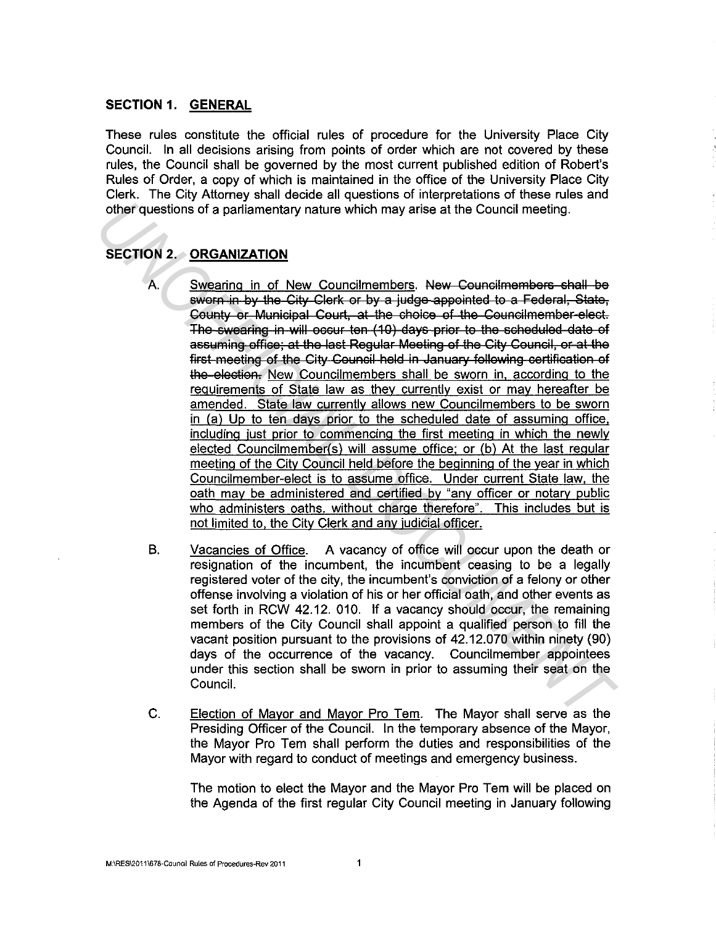## **SECTION 1. GENERAL**

These rules constitute the official rules of procedure for the University Place City Council. In all decisions arising from points of order which are not covered by these rules, the Council shall be governed by the most current published edition of Robert's Rules of Order, a copy of which is maintained in the office of the University Place City Clerk. The City Attorney shall decide all questions of interpretations of these rules and other questions of a parliamentary nature which may arise at the Council meeting.

# **SECTION 2. ORGANIZATION**

- A. Swearing in of New Councilmembers. New Councilmembers shall be sworn in by the City Clerk or by a judge appointed to a Federal, State, County or Municipal Court, at the choice of the Councilmember-elect. The swearing in will occur ten (10) days prior to the scheduled date of assuming office; at the last Regular Meeting of the City Council, or at the first meeting of the City Council held in January following certification of the election. New Councilmembers shall be sworn in, according to the requirements of State law as they currently exist or may hereafter be amended. State law currently allows new Councilmembers to be sworn in (a) Up to ten days prior to the scheduled date of assuming office. including just prior to commencing the first meeting in which the newly elected Councilmember(s) will assume office; or (b) At the last regular meeting of the City Council held before the beginning of the year in which Councilmember-elect is to assume office. Under current State law. the oath may be administered and certified by "any officer or notary public who administers oaths, without charge therefore". This includes but is not limited to. the City Clerk and any judicial officer. other questions of a parliamentary nature which may arise at the Council meeting.<br>
SECTION 2. <u>ORGANIZATION</u><br>
<sup>A</sup><br>
Swearing in of New Council members. New Council members e-hall -be<br>
swearing in of New Council members. New
	- B. Vacancies of Office. A vacancy of office will occur upon the death or resignation of the incumbent, the incumbent ceasing to be a legally registered voter of the city, the incumbent's conviction of a felony or other offense involving a violation of his or her official oath, and other events as set forth in RCW 42.12. 010. If a vacancy should occur, the remaining members of the City Council shall appoint a qualified person to fill the vacant position pursuant to the provisions of 42.12.070 within ninety (90) days of the occurrence of the vacancy. Councilmember appointees under this section shall be sworn in prior to assuming their seat on the Council.
	- C. Election of Mayor and Mayor Pro Tem. The Mayor shall serve as the Presiding Officer of the Council. In the temporary absence of the Mayor, the Mayor Pro Tern shall perform the duties and responsibilities of the Mayor with regard to conduct of meetings and emergency business.

The motion to elect the Mayor and the Mayor Pro Tern will be placed on the Agenda of the first regular City Council meeting in January following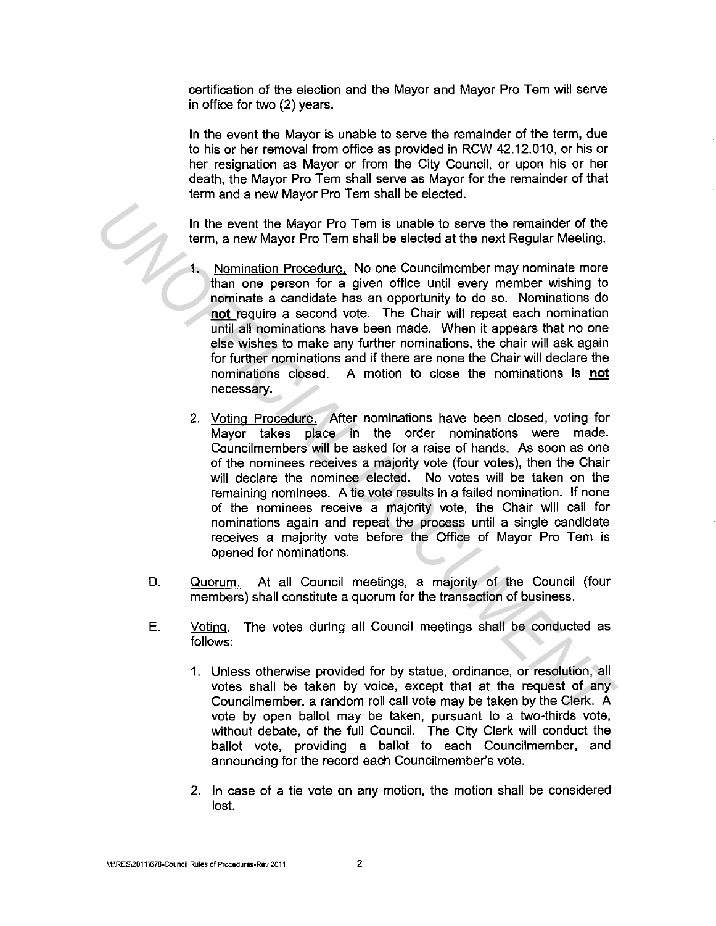certification of the election and the Mayor and Mayor Pro Tern will serve in office for two (2) years.

In the event the Mayor is unable to serve the remainder of the term, due to his or her removal from office as provided in RCW 42.12.010, or his or her resignation as Mayor or from the City Council, or upon his or her death, the Mayor Pro Tem shall serve as Mayor for the remainder of that term and a new Mayor Pro Tem shall be elected.

In the event the Mayor Pro Tem is unable to serve the remainder of the term, a new Mayor Pro Tem shall be elected at the next Regular Meeting.

- 1. Nomination Procedure. No one Councilmember may nominate more than one person for a given office until every member wishing to nominate a candidate has an opportunity to do so. Nominations do **not** require a second vote. The Chair will repeat each nomination until all nominations have been made. When it appears that no one else wishes to make any further nominations, the chair will ask again for further nominations and if there are none the Chair will declare the nominations closed. A motion to close the nominations is **not**  necessary.
- 2. Voting Procedure. After nominations have been closed, voting for Mayor takes place in the order nominations were made. Councilmembers will be asked for a raise of hands. As soon as one of the nominees receives a majority vote (four votes), then the Chair will declare the nominee elected. No votes will be taken on the remaining nominees. A tie vote results in a failed nomination. If none of the nominees receive a majority vote, the Chair will call for nominations again and repeat the process until a single candidate receives a majority vote before the Office of Mayor Pro Tem is opened for nominations. In the event the Mayor Pro Tem is unable to serve the remainder of the<br>
term, a new Mayor Pro Tem shall be elected at the next Regular Meeting,<br> **1.** <u>Normination Procedure</u>. No one Councilmember may nominate more<br>
than on
	- D. Quorum. At all Council meetings, a majority of the Council (four members) shall constitute a quorum for the transaction of business.
	- E. Voting. The votes during all Council meetings shall be conducted as follows:
		- 1. Unless otherwise provided for by statue, ordinance, or resolution, all votes shall be taken by voice, except that at the request of any Councilmember, a random roll call vote may be taken by the Clerk. A vote by open ballot may be taken, pursuant to a two-thirds vote, without debate, of the full Council. The City Clerk will conduct the ballot vote, providing a ballot to each Councilmember, and announcing for the record each Councilmember's vote.
		- 2. In case of a tie vote on any motion, the motion shall be considered lost.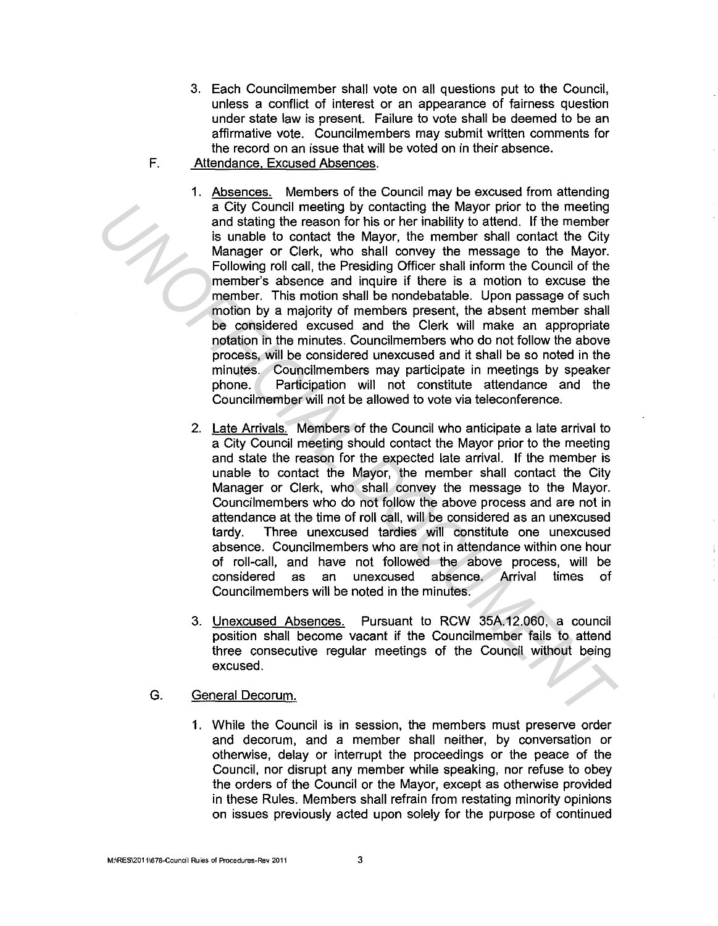- 3. Each Councilmember shall vote on all questions put to the Council, unless a conflict of interest or an appearance of fairness question under state law is present. Failure to vote shall be deemed to be an affirmative vote. Councilmembers may submit written comments for the record on an issue that will be voted on in their absence.
- F. Attendance. Excused Absences.
- 1. Absences. Members of the Council may be excused from attending a City Council meeting by contacting the Mayor prior to the meeting and stating the reason for his or her inability to attend. If the member is unable to contact the Mayor, the member shall contact the City Manager or Clerk, who shall convey the message to the Mayor. Following roll call, the Presiding Officer shall inform the Council of the member's absence and inquire if there is a motion to excuse the member. This motion shall be nondebatable. Upon passage of such motion by a majority of members present, the absent member shall be considered excused and the Clerk will make an appropriate notation in the minutes. Councilmembers who do not follow the above process, will be considered unexcused and it shall be so noted in the minutes. Councilmembers may participate in meetings by speaker phone. Participation will not constitute attendance and the Council member will not be allowed to vote via teleconference. a city council meeting by contacting the Mayor prior to the meeting<br>and stating the reason for his or her inability to attend. If the member<br>is unable to contact the Mayor, the member shall contact the City<br>Scalin and cont
	- 2. Late Arrivals. Members of the Council who anticipate a late arrival to a City Council meeting should contact the Mayor prior to the meeting and state the reason for the expected late arrival. If the member is unable to contact the Mayor, the member shall contact the City Manager or Clerk, who shall convey the message to the Mayor. Councilmembers who do not follow the above process and are not in attendance at the time of roll call, will be considered as an unexcused tardy. Three unexcused tardies will constitute one unexcused absence. Councilmembers who are not in attendance within one hour of roll-call, and have not followed the above process, will be considered as an unexcused absence. Arrival times of Councilmembers will be noted in the minutes.
	- 3. Unexcused Absences. Pursuant to RCW 35A.12.060, a council position shall become vacant if the Councilmember fails to attend three consecutive regular meetings of the Council without being excused.
	- G. General Decorum.
		- 1. While the Council is in session, the members must preserve order and decorum, and a member shall neither, by conversation or otherwise, delay or interrupt the proceedings or the peace of the Council, nor disrupt any member while speaking, nor refuse to obey the orders of the Council or the Mayor, except as otherwise provided in these Rules. Members shall refrain from restating minority opinions on issues previously acted upon solely for the purpose of continued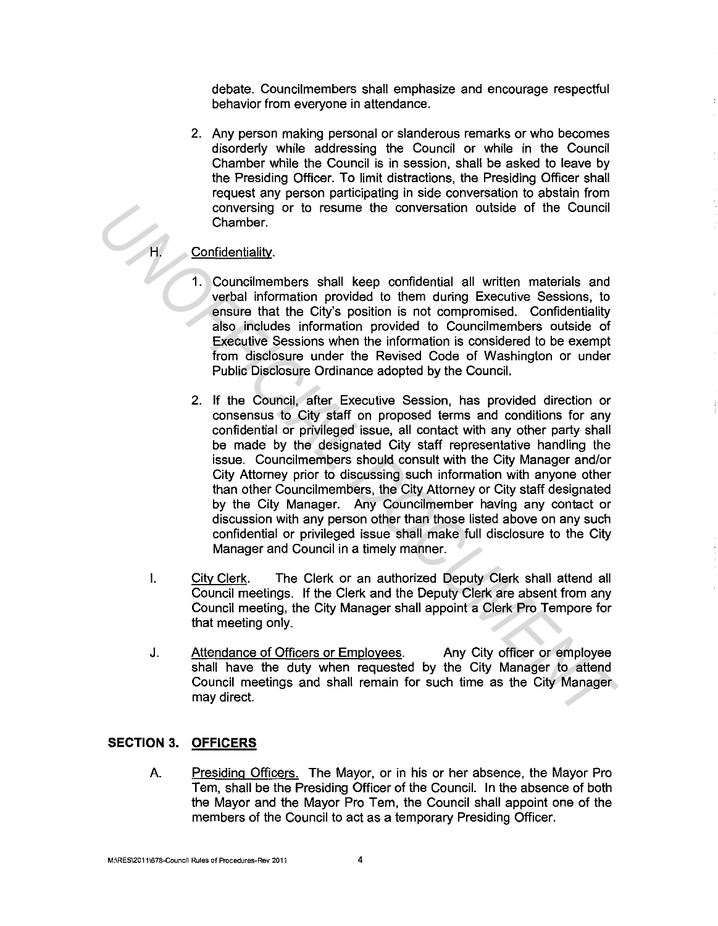debate. Councilmembers shall emphasize and encourage respectful behavior from everyone in attendance.

2. Any person making personal or slanderous remarks or who becomes disorderly while addressing the Council or while in the Council Chamber while the Council is in session, shall be asked to leave by the Presiding Officer. To limit distractions, the Presiding Officer shall request any person participating in side conversation to abstain from conversing or to resume the conversation outside of the Council Chamber.

## Confidentiality.

- 1. Councilmembers shall keep confidential all written materials and verbal information provided to them during Executive Sessions, to ensure that the City's position is not compromised. Confidentiality also includes information provided to Councilmembers outside of Executive Sessions when the information is considered to be exempt from disclosure under the Revised Code of Washington or under Public Disclosure Ordinance adopted by the Council.
- 2. If the Council, after Executive Session, has provided direction or consensus to City staff on proposed terms and conditions for any confidential or privileged issue, all contact with any other party shall be made by the designated City staff representative handling the issue. Councilmembers should consult with the City Manager and/or City Attorney prior to discussing such information with anyone other than other Councilmembers, the City Attorney or City staff designated by the City Manager. Any Councilmember having any contact or discussion with any person other than those listed above on any such confidential or privileged issue shall make full disclosure to the City Manager and Council in a timely manner. Conversing or to resume the conversation outside of the Council<br>Chamber,<br>Confidentiality.<br> **Confidentiality.**<br> **Conversing the transition provided to them during Executive Sessions, to<br>
ensus that the City position is not** 
	- I. City Clerk. The Clerk or an authorized Deputy Clerk shall attend all Council meetings. If the Clerk and the Deputy Clerk are absent from any Council meeting, the City Manager shall appoint a Clerk Pro Tempore for that meeting only.
	- J. Attendance of Officers or Employees. Any City officer or employee shall have the duty when requested by the City Manager to attend Council meetings and shall remain for such time as the City Manager may direct.

# **SECTION 3. OFFICERS**

A. Presiding Officers. The Mayor, or in his or her absence, the Mayor Pro Tern, shall be the Presiding Officer of the Council. In the absence of both the Mayor and the Mayor Pro Tem, the Council shall appoint one of the members of the Council to act as a temporary Presiding Officer.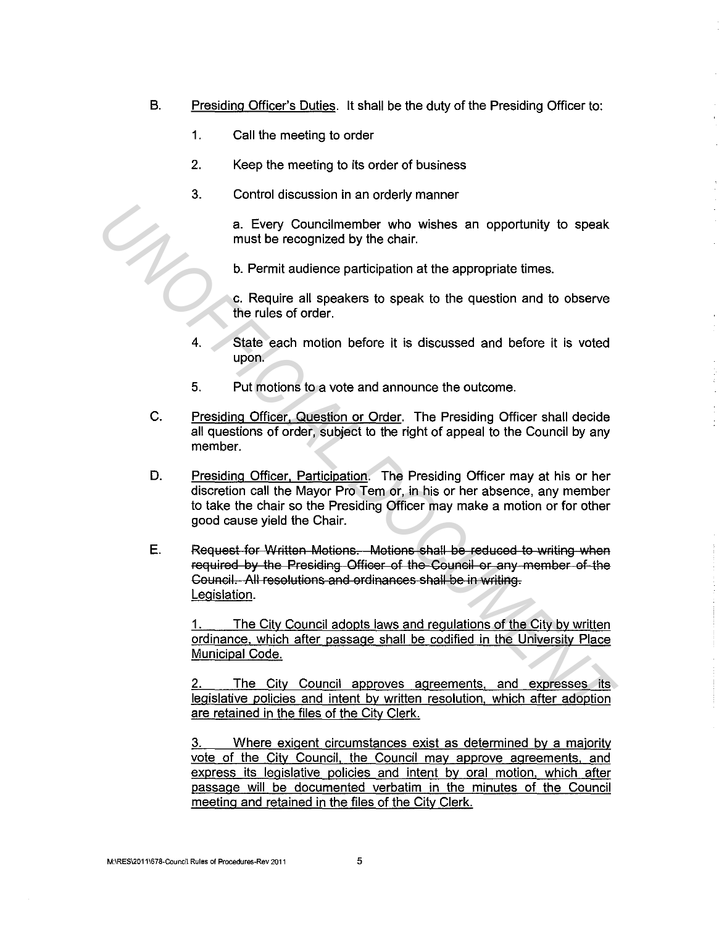- B. Presiding Officer's Duties. It shall be the duty of the Presiding Officer to:
	- 1. Call the meeting to order
	- 2. Keep the meeting to its order of business
	- 3. Control discussion in an orderly manner

a. Every Councilmember who wishes an opportunity to speak must be recognized by the chair.

b. Permit audience participation at the appropriate times.

c. Require all speakers to speak to the question and to observe the rules of order.

- 4. State each motion before it is discussed and before it is voted upon.
- 5. Put motions to a vote and announce the outcome.
- C. Presiding Officer. Question or Order. The Presiding Officer shall decide all questions of order, subject to the right of appeal to the Council by any member.
- D. Presiding Officer, Participation. The Presiding Officer may at his or her discretion call the Mayor Pro Tem or, in his or her absence, any member to take the chair so the Presiding Officer may make a motion or for other good cause yield the Chair.
- **E.** Request for Written Motions. Motions shall be reduced to writing when required by the Presiding Officer of the Council or any member of the Council. All resolutions and ordinances shall be in writing. Legislation. **Example 12** a. Every Councilmember who wishes an opportunity to speak<br>must be recognized by the chair.<br> **U.** Permit audience participation at the appropriate times.<br> **C.** Require all speakers to speak to the question and

The City Council adopts laws and regulations of the City by written ordinance. which after passage shall be codified in the University Place Municipal Code.

2. The City Council approves agreements, and expresses its legislative policies and intent by written resolution. which after adoption are retained in the files of the City Clerk.

3. Where exigent circumstances exist as determined by a majority vote of the City Council. the Council may approve agreements, and express its legislative policies and intent by oral motion, which after passage will be documented verbatim in the minutes of the Council meeting and retained in the files of the City Clerk.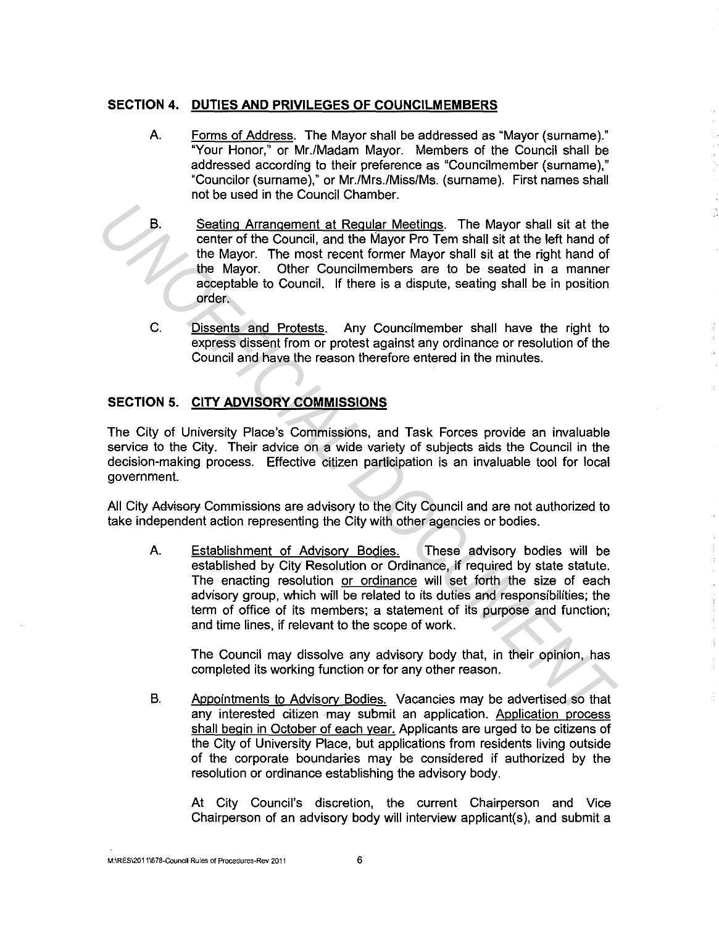# **SECTION 4. DUTIES AND PRIVILEGES OF COUNCILMEMBERS**

- A. Forms of Address. The Mayor shall be addressed as "Mayor (surname)." "Your Honor," or Mr./Madam Mayor. Members of the Council shall be addressed according to their preference as "Councilmember (surname)," "Councilor (surname)," or Mr./Mrs./Miss/Ms. (surname). First names shall not be used in the Council Chamber.
- B. Seating Arrangement at Regular Meetings. The Mayor shall sit at the center of the Council, and the Mayor Pro Tern shall sit at the left hand of the Mayor. The most recent former Mayor shall sit at the right hand of the Mayor. Other Councilmembers are to be seated in a manner acceptable to Council. If there is a dispute, seating shall be in position order.
- C. Dissents and Protests. Any Councilmember shall have the right to express dissent from or protest against any ordinance or resolution of the Council and have the reason therefore entered in the minutes.

# **SECTION 5. CITY ADVISORY COMMISSIONS**

The City of University Place's Commissions, and Task Forces provide an invaluable service to the City. Their advice on a wide variety of subjects aids the Council in the decision-making process. Effective citizen participation is an invaluable tool for local government.

All City Advisory Commissions are advisory to the City Council and are not authorized to take independent action representing the City with other agencies or bodies.

A. Establishment of Advisorv Bodies. These advisory bodies will be established by City Resolution or Ordinance, if required by state statute. The enacting resolution or ordinance will set forth the size of each advisory group, which will be related to its duties and responsibilities; the term of office of its members; a statement of its purpose and function; and time lines, if relevant to the scope of work. **Examine Arrangement at Requiar Meetings.** The Mayor shall sit at the center of the Mayor. The most recent former Mayor Bro Tem shall sit at the left hand of the Mayor. The most recent former Mayor shall sit at the defit h

The Council may dissolve any advisory body that, in their opinion, has completed its working function or for any other reason.

B. Appointments to Advisory Bodies. Vacancies may be advertised so that any interested citizen may submit an application. Application process shall begin in October of each year. Applicants are urged to be citizens of the City of University Place, but applications from residents living outside of the corporate boundaries may be considered if authorized by the resolution or ordinance establishing the advisory body.

At City Council's discretion, the current Chairperson and Vice Chairperson of an advisory body will interview applicant(s), and submit a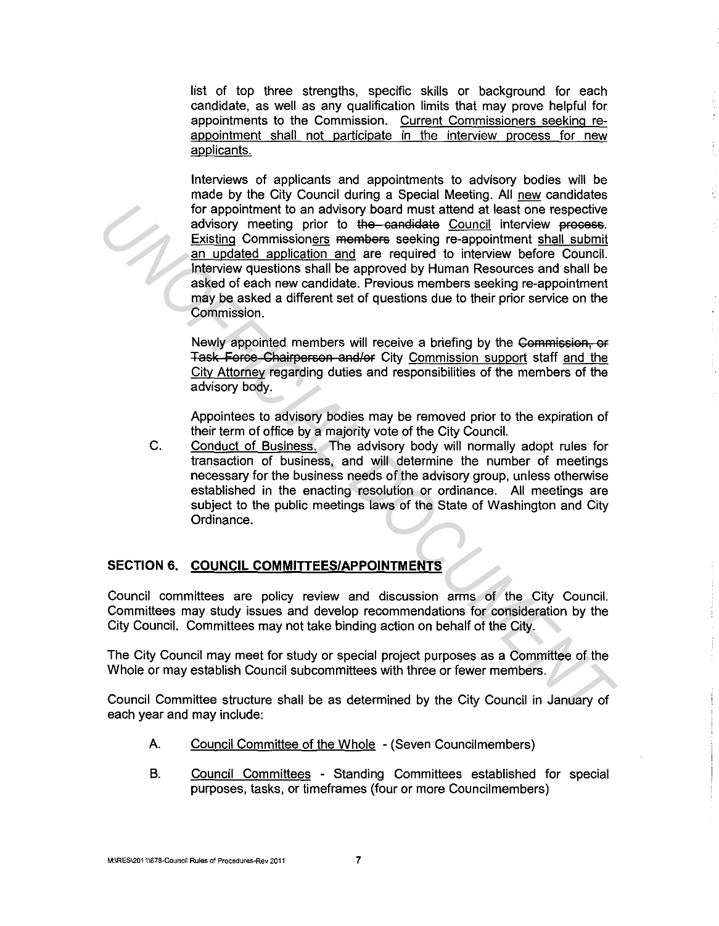list of top three strengths, specific skills or background for each candidate, as well as any qualification limits that may prove helpful for appointments to the Commission. Current Commissioners seeking reappointment shall not participate in the interview process for new applicants.

Interviews of applicants and appointments to advisory bodies will be made by the City Council during a Special Meeting. All new candidates for appointment to an advisory board must attend at least one respective advisory meeting prior to the candidate Council interview process. Existing Commissioners members seeking re-appointment shall submit an updated application and are required to interview before Council. Interview questions shall be approved by Human Resources and shall be asked of each new candidate. Previous members seeking re-appointment may be asked a different set of questions due to their prior service on the Commission. for appointment to an advisory board must attent on espective<br>savisory meeting prior to the-sensidele Council interview precess.<br>Existing Commissioners members seeking re-appointment shall submit<br>an understanded applicatio

Newly appointed members will receive a briefing by the Commission, or Task Force Chairperson and/or City Commission support staff and the City Attorney regarding duties and responsibilities of the members of the advisory body.

Appointees to advisory bodies may be removed prior to the expiration of their term of office by a majority vote of the City Council.

C. Conduct of Business. The advisory body will normally adopt rules for transaction of business, and will determine the number of meetings necessary for the business needs of the advisory group, unless otherwise established in the enacting resolution or ordinance. All meetings are subject to the public meetings laws of the State of Washington and City Ordinance.

### **SECTION 6. COUNCIL COMMITTEES/APPOINTMENTS**

Council committees are policy review and discussion arms of the City Council. Committees may study issues and develop recommendations for consideration by the City Council. Committees may not take binding action on behalf of the City.

The City Council may meet for study or special project purposes as a Committee of the Whole or may establish Council subcommittees with three or fewer members.

Council Committee structure shall be as determined by the City Council in January of each year and may include:

- A. Council Committee of the Whole (Seven Councilmembers)
- B. Council Committees Standing Committees established for special purposes, tasks, or timeframes (four or more Councilmembers)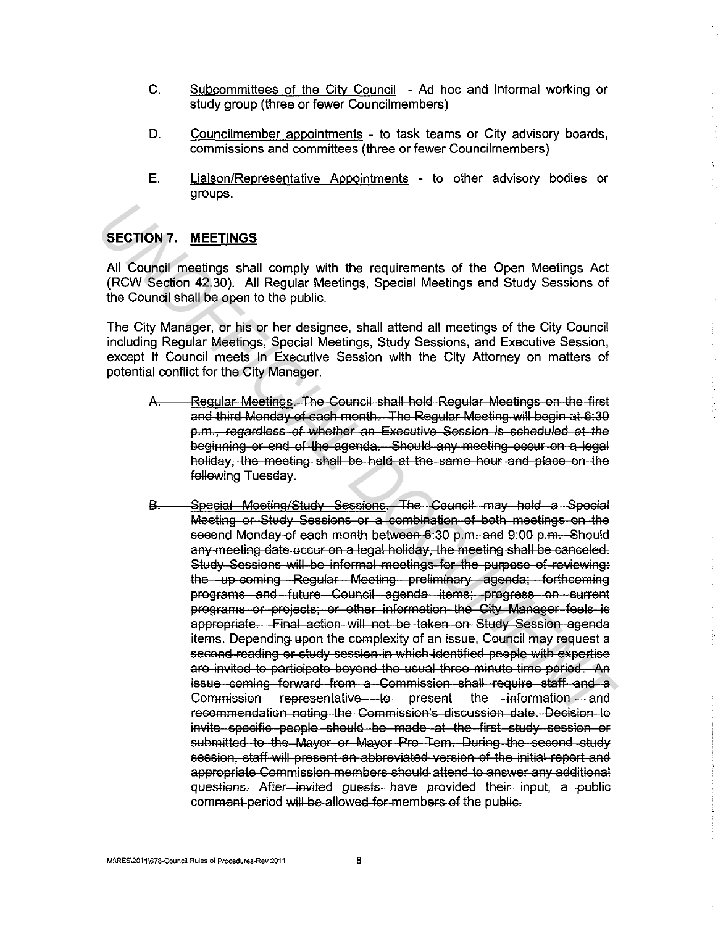- C. Subcommittees of the City Council Ad hoc and informal working or study group (three or fewer Councilmembers)
- D. Councilmember appointments to task teams or City advisory boards, commissions and committees (three or fewer Councilmembers)
- **E.** Liaison/Representative Appointments to other advisory bodies or groups.

# **SECTION 7. MEETINGS**

All Council meetings shall comply with the requirements of the Open Meetings Act (RCW Section 42.30). All Regular Meetings, Special Meetings and Study Sessions of the Council shall be open to the public.

The City Manager, or his or her designee, shall attend all meetings of the City Council including Regular Meetings, Special Meetings, Study Sessions, and Executive Session, except if Council meets in Executive Session with the City Attorney on matters of potential conflict for the City Manager.

- $\Delta$ .<br>A. Regular Meetings. The Council shall hold Regular Meetings on the first and third Monday of each month. The Regular Meeting will begin at 6:30 p.m., regardless of whether an Executive Session is scheduled at the beginning or end of the agenda. Should any meeting occur on a legal holiday, the meeting shall be held at the same hour and place on the following Tuesday.
- B. Special Meeting/Study Sessions. The Council *may* hold a Special Meeting or Study Sessions or a combination of both meetings on the second Monday of each month between 6:30 p.m. and 9:00 p.m. Should any meeting date occur on a legal holiday, the meeting shall be canceled. Study Sessions will be informal meetings for the purpose of reviewing: the up coming Regular Meeting preliminary agenda; forthcoming programs and future Council agenda items; progress on current programs or projects; or other information the City Manager feels is appropriate. Final action will not be taken on Study Session agenda items. Depending upon the complexity of an issue, Council *may* request a second reading or study session in which identified people with expertise are invited to participate beyond the usual three minute time period. An issue coming forward from a Commission shall require staff and a Commission representative to present the information and recommendation noting the Commission's discussion date. Decision to invite specific people should be made at the first study session or submitted to the Mayor or Mayor Pro Tem. During the second study session, staff will present an abbreviated version of the initial report and appropriate Commission members should attend to answer any additional questions. After invited guests have provided their input, a public comment period will be allowed for members of the public. SECTION 7. <u>MEETINGS</u><br>
All Council meetings shall comply with the requirements of the Open Meetings Act<br>
(RCW Section 42:30). All Regular Meetings, Special Meetings and Study Sessions of<br>
(RCW Section 42:30). All Regular M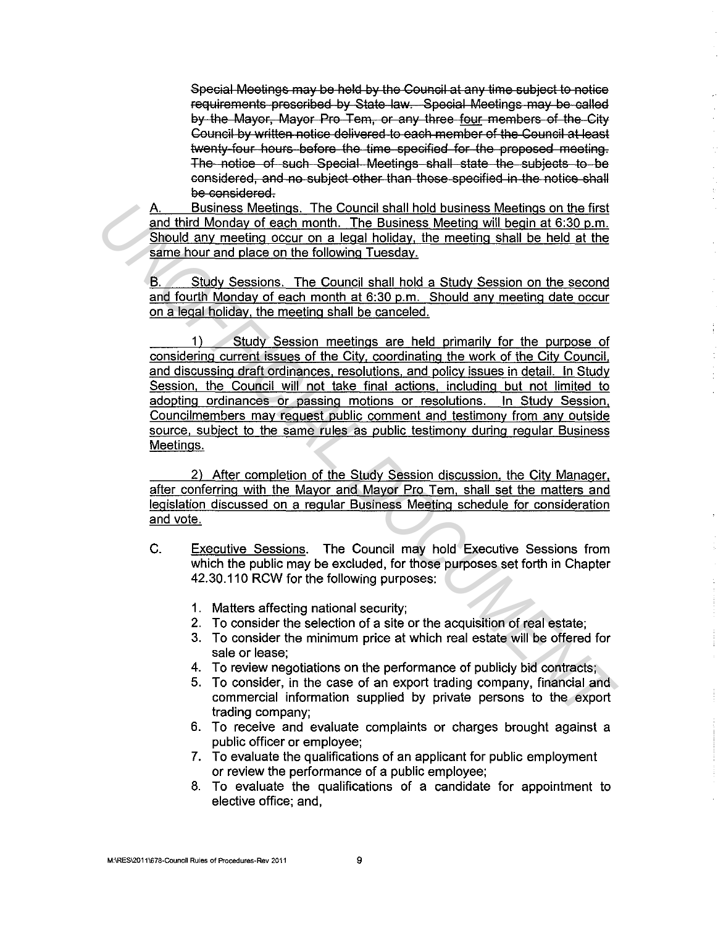Special Meetings may be held by the Council at any time subject to notice requirements prescribed by State law. Special Meetings may be called by the Mayor, Mayor Pro Tom, or any three four members of the City Council by written notice delivered to each member of the Council at least twenty four hours before the time specified for the proposed meeting. The notice of such Special Meetings shall state the subjects to be considered, and no subject other than those specified in the notice shall be considered.

A. Business Meetings. The Council shall hold business Meetings on the first and third Monday of each month. The Business Meeting will begin at 6:30 p.m. Should any meeting occur on a legal holiday, the meeting shall be held at the same hour and place on the following Tuesday.

B. Study Sessions. The Council shall hold a Study Session on the second and fourth Monday of each month at 6:30 p.m. Should any meeting date occur on a legal holiday, the meeting shall be canceled.

1) Study Session meetings are held primarily for the purpose of considering current issues of the City. coordinating the work of the City Council, and discussing draft ordinances. resolutions, and policy issues in detail. In Study Session, the Council will not take final actions, including but not limited to adopting ordinances or passing motions or resolutions. In Study Session. Councilmembers may request public comment and testimony from any outside source, subject to the same rules as public testimony during regular Business Meetings. A. Business Meeting, The Council shall hold business Meeting something to the first and third Monday of each month. The Business Meeting will begin at 6:30 p.m.<br>
Should any meeting occur on a legal holiday, the meeting sha

2) After completion of the Study Session discussion, the City Manager. after conferring with the Mayor and Mayor Pro Tern, shall set the matters and legislation discussed on a regular Business Meeting schedule for consideration and vote.

- C. Executive Sessions. The Council may hold Executive Sessions from which the public may be excluded, for those purposes set forth in Chapter 42.30.110 RCW for the following purposes:
	- 1. Matters affecting national security;
	- 2. To consider the selection of a site or the acquisition of real estate;
	- 3. To consider the minimum price at which real estate will be offered for sale or lease;
	- 4. To review negotiations on the performance of publicly bid contracts;
	- 5. To consider, in the case of an export trading company, financial and commercial information supplied by private persons to the export trading company;
	- 6. To receive and evaluate complaints or charges brought against a public officer or employee;
	- 7. To evaluate the qualifications of an applicant for public employment or review the performance of a public employee;
	- 8. To evaluate the qualifications of a candidate for appointment to elective office; and,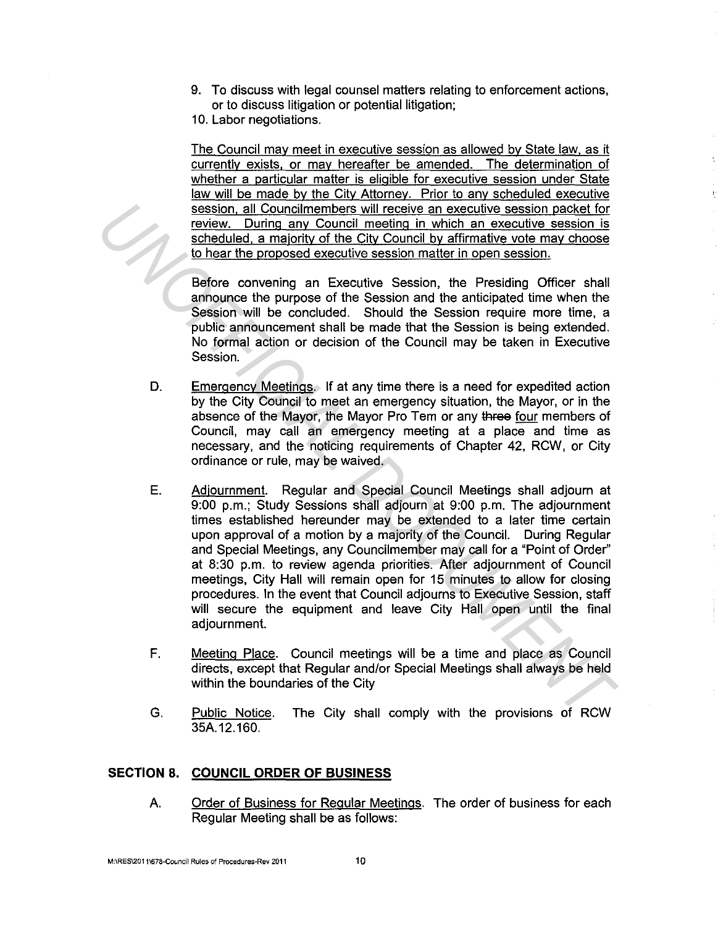- 9. To discuss with legal counsel matters relating to enforcement actions, or to discuss litigation or potential litigation;
- 10. Labor negotiations.

The Council may meet in executive session as allowed by State law. as it currently exists, or may hereafter be amended. The determination of whether a particular matter is eligible for executive session under State law will be made by the City Attorney. Prior to any scheduled executive session. all Councilmembers will receive an executive session packet for review. During any Council meeting in which an executive session is scheduled, a majority of the City Council by affirmative vote may choose to hear the proposed executive session matter in open session.

Before convening an Executive Session, the Presiding Officer shall announce the purpose of the Session and the anticipated time when the Session will be concluded. Should the Session require more time, a public announcement shall be made that the Session is being extended. No formal action or decision of the Council may be taken in Executive Session.

- D. Emergency Meetings. If at any time there is a need for expedited action by the City Council to meet an emergency situation, the Mayor, or in the absence of the Mayor, the Mayor Pro Tem or any three four members of Council, may call an emergency meeting at a place and time as necessary, and the noticing requirements of Chapter 42, RCW, or City ordinance or rule, may be waived.
- E. Adjournment. Regular and Special Council Meetings shall adjourn at 9:00 p.m.; Study Sessions shall adjourn at 9:00 p.m. The adjournment times established hereunder may be extended to a later time certain upon approval of a motion by a majority of the Council. During Regular and Special Meetings, any Councilmember may call for a "Point of Order" at 8:30 p.m. to review agenda priorities. After adjournment of Council meetings, City Hall will remain open for 15 minutes to allow for closing procedures. In the event that Council adjourns to Executive Session, staff will secure the equipment and leave City Hall open until the final adjournment. **Example 1.** Council members will receive an executive assion nacket for<br>
<u>review. During any Council meding in which an executive session is<br>
scheduled. a majority of the City Council by affirmative yote may choose<br>
10 he</u>
	- F. Meeting Place. Council meetings will be a time and place as Council directs, except that Regular and/or Special Meetings shall always be held within the boundaries of the City
	- G. Public Notice. The City shall comply with the provisions of RCW 35A.12.160.

# **SECTION 8. COUNCIL ORDER OF BUSINESS**

A. Order of Business for Regular Meetings. The order of business for each Regular Meeting shall be as follows: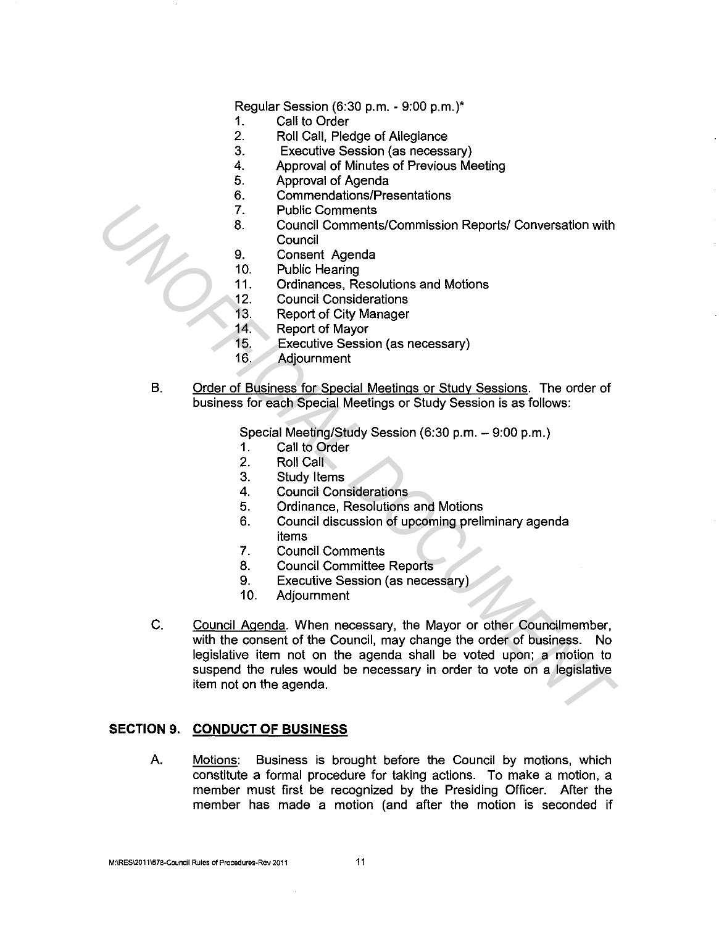Regular Session (6:30 p.m. - 9:00 p.m.)\*

- 1. Call to Order
- 2. Roll Call, Pledge of Allegiance
- 3. Executive Session (as necessary)
- 4. Approval of Minutes of Previous Meeting
- 5. Approval of Agenda
- 6. Commendations/Presentations
- 7. Public Comments
- 8. Council Comments/Commission Reports/ Conversation with **Council**
- 9. Consent Agenda
- 10. Public Hearing
- 11. Ordinances, Resolutions and Motions
- 12. Council Considerations
- 13. Report of City Manager
- 14. Report of Mayor
- 15. Executive Session (as necessary)
- 16. Adjournment
- B. Order of Business for Special Meetings or Study Sessions. The order of business for each Special Meetings or Study Session is as follows:

Special Meeting/Study Session (6:30 p.m. - 9:00 p.m.)

- 1. Call to Order
- 2. Roll Call
- 3. Study Items
- 4. Council Considerations
- 5. Ordinance, Resolutions and Motions
- 6. Council discussion of upcoming preliminary agenda items
- 7. Council Comments
- 8. Council Committee Reports
- 9. Executive Session (as necessary)
- 10. Adjournment
- C. Council Agenda. When necessary, the Mayor or other Councilmember, with the consent of the Council, may change the order of business. No legislative item not on the agenda shall be voted upon; a motion to suspend the rules would be necessary in order to vote on a legislative item not on the agenda. 7. Public Comments/Commission Reports/ Conversation with<br> **Example 10. Conseil Agenda**<br>
10. Public Hearing<br>
11. Ordinances, Resolutions and Motions<br>
12. Council Considerations<br>
12. Council Considerations<br>
13. Report of May

#### **SECTION 9. CONDUCT OF BUSINESS**

A. Motions: Business is brought before the Council by motions, which constitute a formal procedure for taking actions. To make a motion, a member must first be recognized by the Presiding Officer. After the member has made a motion (and after the motion is seconded if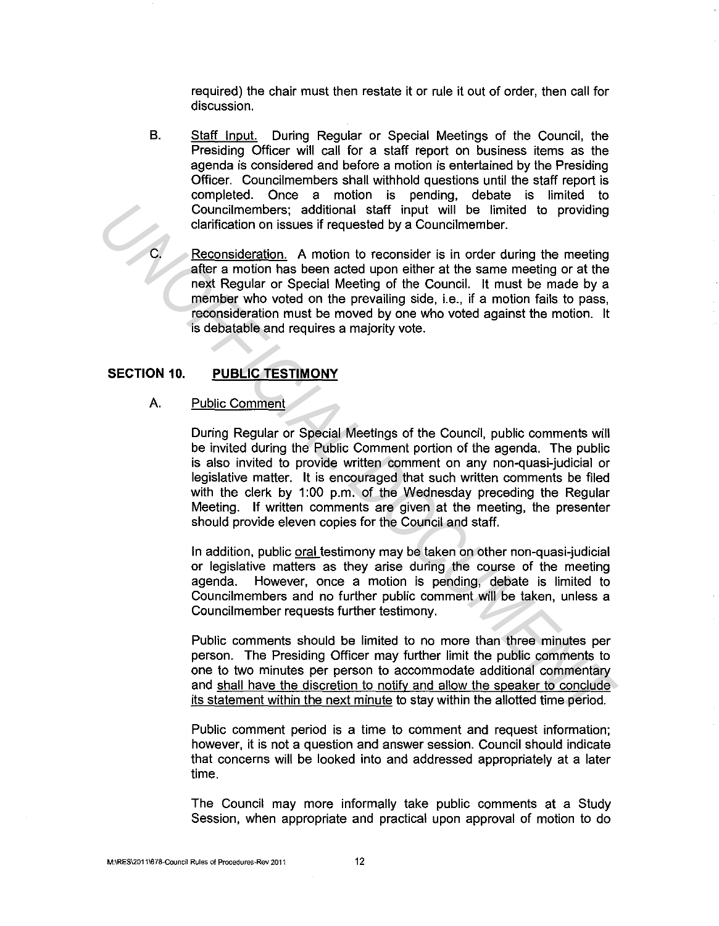required) the chair must then restate it or rule it out of order, then call for discussion.

B. Staff Input. During Regular or Special Meetings of the Council, the Presiding Officer will call for a staff report on business items as the agenda is considered and before a motion is entertained by the Presiding Officer. Councilmembers shall withhold questions until the staff report is completed. Once a motion is pending, debate is limited to Councilmembers; additional staff input will be limited to providing clarification on issues if requested by a Councilmember.

Reconsideration. A motion to reconsider is in order during the meeting after a motion has been acted upon either at the same meeting or at the next Regular or Special Meeting of the Council. It must be made by a member who voted on the prevailing side, i.e., if a motion fails to pass, reconsideration must be moved by one who voted against the motion. It is debatable and requires a majority vote.

## **SECTION** 10. **PUBLIC TESTIMONY**

### A. Public Comment

During Regular or Special Meetings of the Council, public comments will be invited during the Public Comment portion of the agenda. The public is also invited to provide written comment on any non-quasi-judicial or legislative matter. It is encouraged that such written comments be filed with the clerk by 1:00 p.m. of the Wednesday preceding the Regular Meeting. If written comments are given at the meeting, the presenter should provide eleven copies for the Council and staff. Councilmembers; additional staff input will be limited to providing<br> **Councilmentation** in several frequencies by a Councilmember.<br> **Examplementation** in a motion to reconsider is in order during the meeting<br>
after a motio

In addition, public oral testimony may be taken on other non-quasi-judicial or legislative matters as they arise during the course of the meeting agenda. However, once a motion is pending, debate is limited to Councilmembers and no further public comment will be taken, unless a Councilmember requests further testimony.

Public comments should be limited to no more than three minutes per person. The Presiding Officer may further limit the public comments to one to two minutes per person to accommodate additional commentary and shall have the discretion to notify and allow the speaker to conclude its statement within the next minute to stay within the allotted time period.

Public comment period is a time to comment and request information; however, it is not a question and answer session. Council should indicate that concerns will be looked into and addressed appropriately at a later time.

The Council may more informally take public comments at a Study Session, when appropriate and practical upon approval of motion to do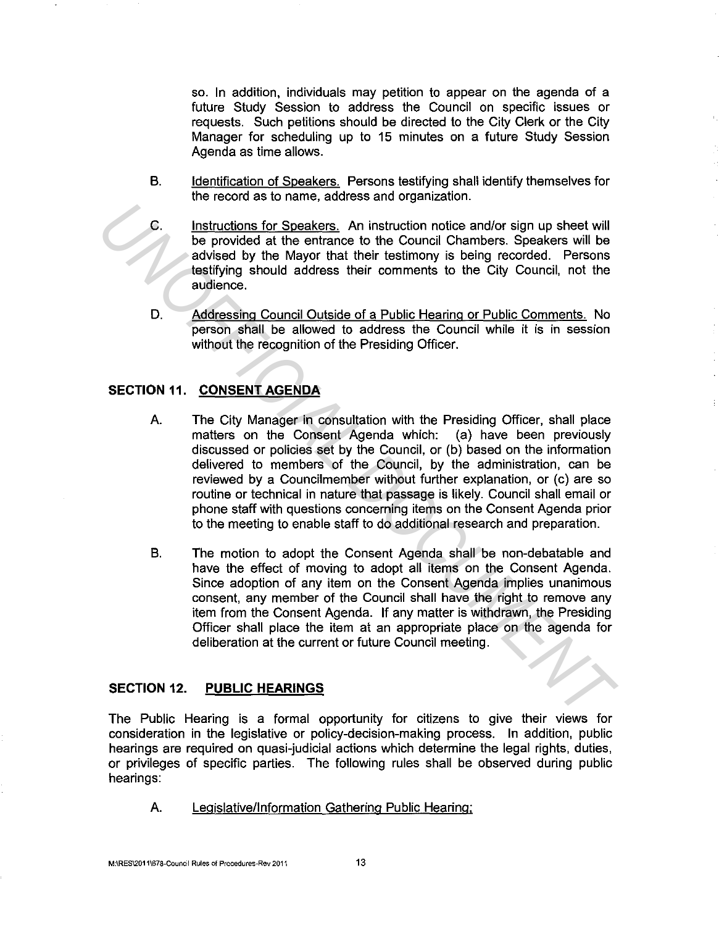so. In addition, individuals may petition to appear on the agenda of a future Study Session to address the Council on specific issues or requests. Such petitions should be directed to the City Clerk or the City Manager for scheduling up to 15 minutes on a future Study Session Agenda as time allows.

- B. Identification of Speakers. Persons testifying shall identify themselves for the record as to name, address and organization.
- C. Instructions for Speakers. An instruction notice and/or sign up sheet will be provided at the entrance to the Council Chambers. Speakers will be advised by the Mayor that their testimony is being recorded. Persons testifying should address their comments to the City Council, not the audience.
- D. Addressing Council Outside of a Public Hearing or Public Comments. No person shall be allowed to address the Council while it is in session without the recognition of the Presiding Officer.

# **SECTION 11. CONSENT AGENDA**

- A. The City Manager in consultation with the Presiding Officer, shall place matters on the Consent Agenda which: (a) have been previously discussed or policies set by the Council, or (b) based on the information delivered to members of the Council, by the administration, can be reviewed by a Councilmember without further explanation, or (c) are so routine or technical in nature that passage is likely. Council shall email or phone staff with questions concerning items on the Consent Agenda prior to the meeting to enable staff to do additional research and preparation. **C.** Instructions for Speakiers. An instruction notice and/or sign up sheet will be provided at the entrance to the Council Chambers. Speakers will be advised by the Mayor that their isstimmy is being recorded. Persons sha
	- B. The motion to adopt the Consent Agenda shall be non-debatable and have the effect of moving to adopt all items on the Consent Agenda. Since adoption of any item on the Consent Agenda implies unanimous consent, any member of the Council shall have the right to remove any item from the Consent Agenda. If any matter is withdrawn, the Presiding Officer shall place the item at an appropriate place on the agenda for deliberation at the current or future Council meeting.

# **SECTION** 12. **PUBLIC HEARINGS**

The Public Hearing is a formal opportunity for citizens to give their views for consideration in the legislative or policy-decision-making process. In addition, public hearings are required on quasi-judicial actions which determine the legal rights, duties, or privileges of specific parties. The following rules shall be observed during public hearings:

A. Legislative/Information Gathering Public Hearing;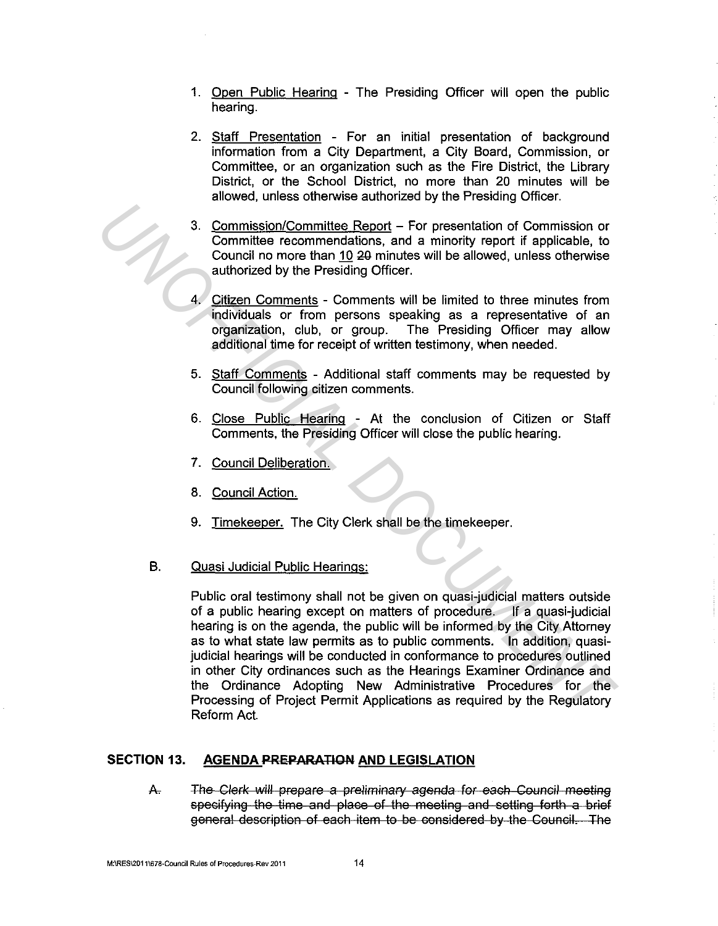- 1. Open Public Hearing The Presiding Officer will open the public hearing.
- 2. Staff Presentation For an initial presentation of background information from a City Department, a City Board, Commission, or Committee, or an organization such as the Fire District, the Library District, or the School District, no more than 20 minutes will be allowed, unless otherwise authorized by the Presiding Officer.
- 3. Commission/Committee Report For presentation of Commission or Committee recommendations, and a minority report if applicable, to Council no more than 10 20 minutes will be allowed, unless otherwise authorized by the Presiding Officer.
- 4. Citizen Comments Comments will be limited to three minutes from individuals or from persons speaking as a representative of an organization, club, or group. The Presiding Officer may allow additional time for receipt of written testimony, when needed.
- 5. Staff Comments Additional staff comments may be requested by Council following citizen comments.
- 6. Close Public Hearing At the conclusion of Citizen or Staff Comments, the Presiding Officer will close the public hearing.
- 7. Council Deliberation.
- 8. Council Action.
- 9. Timekeeper. The City Clerk shall be the timekeeper.
- B. Quasi Judicial Public Hearings:

Public oral testimony shall not be given on quasi-judicial matters outside of a public hearing except on matters of procedure. If a quasi-judicial hearing is on the agenda, the public will be informed by the City Attorney as to what state law permits as to public comments. In addition, quasijudicial hearings will be conducted in conformance to procedures outlined in other City ordinances such as the Hearings Examiner Ordinance and the Ordinance Adopting New Administrative Procedures for the Processing of Project Permit Applications as required by the Regulatory Reform Act. **Example 10** Commission Commission Commission Commission Commission Commission Commission Commission Commission and a minority report if applicable, to counted hor nore than 10 20 minutes will be allowed, unless otherwise

### **SECTION 13. AGENDA PREPARATION AND LEGISLATION**

A. The Clerk will prepare a preliminary agenda for each Council meeting specifying the time and place of the meeting and setting forth a brief general description of each item to be sonsidered by the Council. The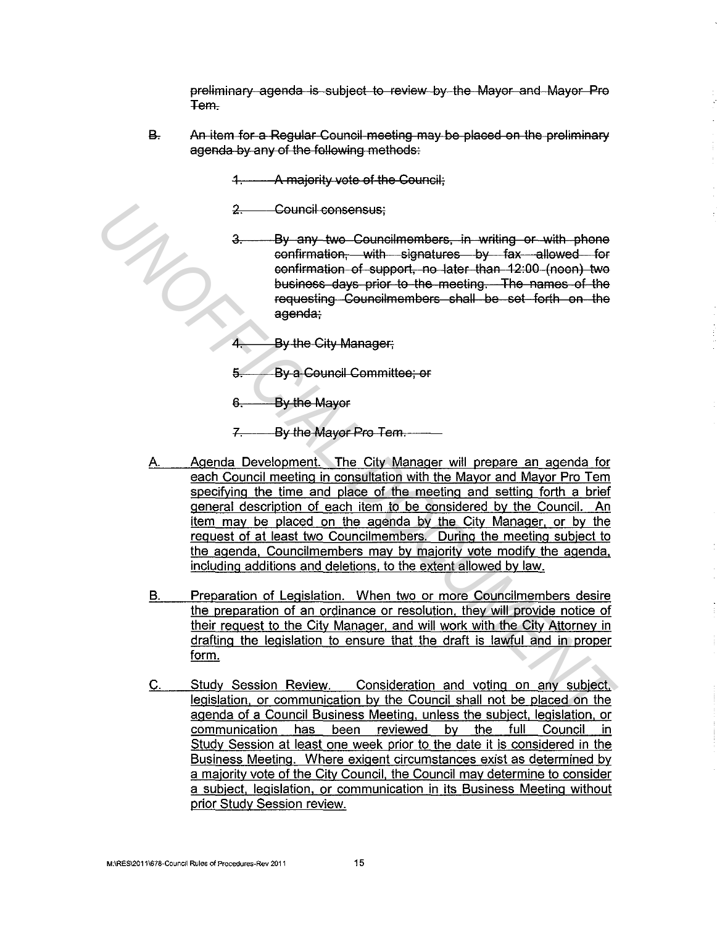preliminary agenda is subject to review by the Mayor and Mayor Pro Tem-

B. An item for a Regular Council meeting may be placed on the preliminary agenda by any of the following methods:

1. A majority vote of the Council;

- 2. Council consensus;
- By any two Councilmembers, in writing or with phone confirmation, with signatures by fax allowed for confirmation of support, no later than 12:00 (noon) two business days prior to the meeting. The names of the requesting Councilmembers shall be set forth on the agenda:
- 4. By the City Manager;
- 5. By a Council Committee; or
- 6. By the Mayor

7. By the Mayor Pro Tern.

- A. Agenda Development. The City Manager will prepare an agenda for each Council meeting in consultation with the Mayor and Mayor Pro Tem specifying the time and place of the meeting and setting forth a brief general description of each item to be considered by the Council. An item may be placed on the agenda by the City Manager. or by the request of at least two Councilmembers. During the meeting subject to the agenda, Councilmembers may by majority vote modify the agenda. including additions and deletions. to the extent allowed by law. **2.** Council consensus;<br>
3. Council consensus;<br>
3. University with c-granital consensus;<br>
3. University of the consensation of support, the later than 42:00 (noon) two<br>
betwiese days prior to the meeting. The names of the<br>
	- B. Preparation of Legislation. When two or more Councilmembers desire the preparation of an ordinance or resolution. they will provide notice of their request to the City Manager. and will work with the City Attorney in drafting the legislation to ensure that the draft is lawful and in proper form.
	- C. Study Session Review. Consideration and voting on any subject. legislation, or communication by the Council shall not be placed on the agenda of a Council Business Meeting, unless the subject. legislation, or communication has been reviewed by the full Council in Study Session at least one week prior to the date it is considered in the Business Meeting. Where exigent circumstances exist as determined by a majority vote of the City Council, the Council may determine to consider a subject. legislation. or communication in its Business Meeting without prior Study Session review.